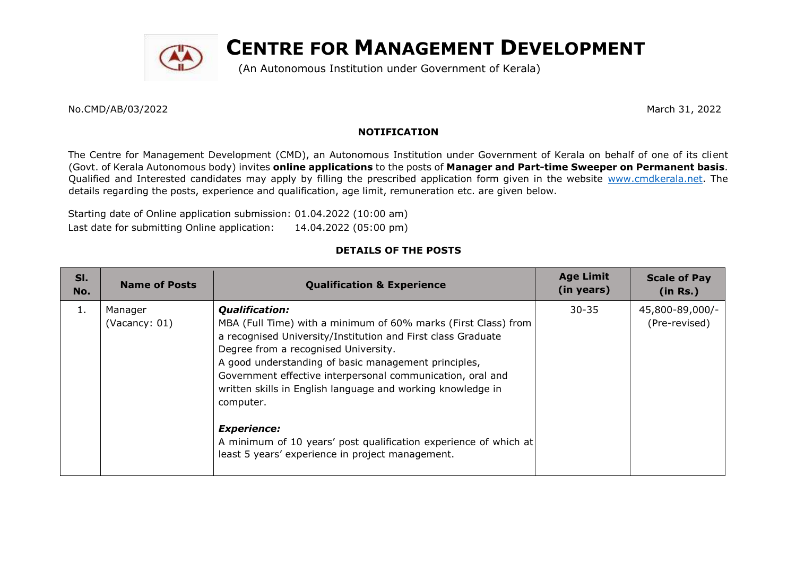

# **CENTRE FOR MANAGEMENT DEVELOPMENT**

(An Autonomous Institution under Government of Kerala)

No.CMD/AB/03/2022 March 31, 2022

## **NOTIFICATION**

The Centre for Management Development (CMD), an Autonomous Institution under Government of Kerala on behalf of one of its client (Govt. of Kerala Autonomous body) invites **online applications** to the posts of **Manager and Part-time Sweeper on Permanent basis**. Qualified and Interested candidates may apply by filling the prescribed application form given in the website www.cmdkerala.net. The details regarding the posts, experience and qualification, age limit, remuneration etc. are given below.

Starting date of Online application submission: 01.04.2022 (10:00 am) Last date for submitting Online application: 14.04.2022 (05:00 pm)

## **DETAILS OF THE POSTS**

| SI.<br>No. | <b>Name of Posts</b>     | <b>Qualification &amp; Experience</b>                                                                                                                                                                                                                                                                                                                                                             | <b>Age Limit</b><br>(in years) | <b>Scale of Pay</b><br>(in Rs.)  |
|------------|--------------------------|---------------------------------------------------------------------------------------------------------------------------------------------------------------------------------------------------------------------------------------------------------------------------------------------------------------------------------------------------------------------------------------------------|--------------------------------|----------------------------------|
| 1.         | Manager<br>(Vacancy: 01) | <b>Qualification:</b><br>MBA (Full Time) with a minimum of 60% marks (First Class) from<br>a recognised University/Institution and First class Graduate<br>Degree from a recognised University.<br>A good understanding of basic management principles,<br>Government effective interpersonal communication, oral and<br>written skills in English language and working knowledge in<br>computer. | $30 - 35$                      | 45,800-89,000/-<br>(Pre-revised) |
|            |                          | <b>Experience:</b><br>A minimum of 10 years' post qualification experience of which at<br>least 5 years' experience in project management.                                                                                                                                                                                                                                                        |                                |                                  |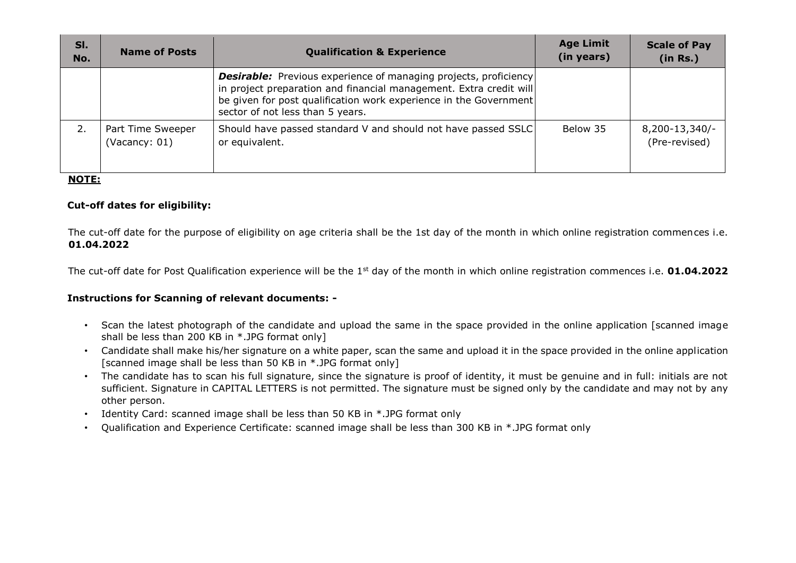| SI.<br>No. | <b>Name of Posts</b>               | <b>Qualification &amp; Experience</b>                                                                                                                                                                                                                  | <b>Age Limit</b><br>(in years) | <b>Scale of Pay</b><br>(in Rs.) |
|------------|------------------------------------|--------------------------------------------------------------------------------------------------------------------------------------------------------------------------------------------------------------------------------------------------------|--------------------------------|---------------------------------|
|            |                                    | <b>Desirable:</b> Previous experience of managing projects, proficiency<br>in project preparation and financial management. Extra credit will<br>be given for post qualification work experience in the Government<br>sector of not less than 5 years. |                                |                                 |
| 2.         | Part Time Sweeper<br>(Vacancy: 01) | Should have passed standard V and should not have passed SSLC<br>or equivalent.                                                                                                                                                                        | Below 35                       | 8,200-13,340/-<br>(Pre-revised) |

### **NOTE:**

### **Cut-off dates for eligibility:**

The cut-off date for the purpose of eligibility on age criteria shall be the 1st day of the month in which online registration commences i.e. **01.04.2022**

The cut-off date for Post Qualification experience will be the 1st day of the month in which online registration commences i.e. **01.04.2022**

#### **Instructions for Scanning of relevant documents: -**

- Scan the latest photograph of the candidate and upload the same in the space provided in the online application [scanned image shall be less than 200 KB in \*.JPG format only]
- Candidate shall make his/her signature on a white paper, scan the same and upload it in the space provided in the online application [scanned image shall be less than 50 KB in \*.JPG format only]
- The candidate has to scan his full signature, since the signature is proof of identity, it must be genuine and in full: initials are not sufficient. Signature in CAPITAL LETTERS is not permitted. The signature must be signed only by the candidate and may not by any other person.
- Identity Card: scanned image shall be less than 50 KB in \*.JPG format only
- Qualification and Experience Certificate: scanned image shall be less than 300 KB in \*.JPG format only